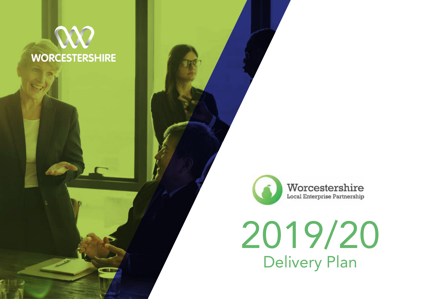# **WORCESTERSHIRE**

Æ



2019/20 Delivery Plan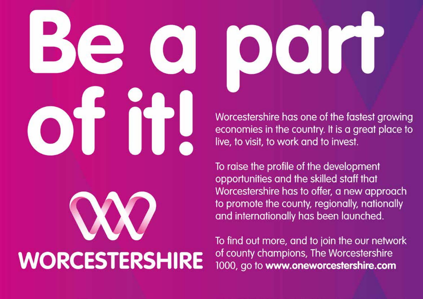# **WORCESTERSHIRE**

Worcestershire has one of the fastest growing economies in the country. It is a great place to live, to visit, to work and to invest.

IOXOIT

To raise the profile of the development opportunities and the skilled staff that Worcestershire has to offer, a new approach to promote the county, regionally, nationally and internationally has been launched.

To find out more, and to join the our network of county champions, The Worcestershire 1000, go to www.oneworcestershire.com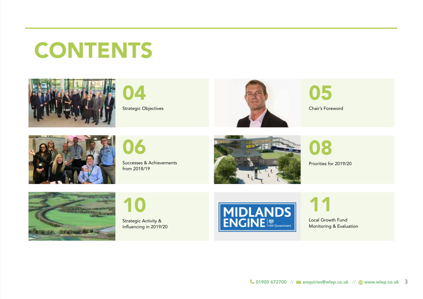# **CONTENTS**







05





06

Successes & Achievements from 2018/19



08

Priorities for 2019/20





Strategic Activity & Influencing in 2019/20



11

Local Growth Fund Monitoring & Evaluation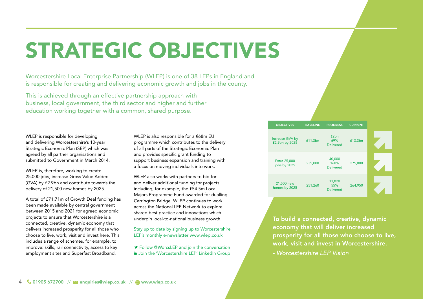# STRATEGIC OBJECTIVES

Worcestershire Local Enterprise Partnership (WLEP) is one of 38 LEPs in England and is responsible for creating and delivering economic growth and jobs in the county.

This is achieved through an effective partnership approach with business, local government, the third sector and higher and further education working together with a common, shared purpose.

WLEP is responsible for developing and delivering Worcestershire's 10-year Strategic Economic Plan (SEP) which was agreed by all partner organisations and submitted to Government in March 2014.

WLEP is, therefore, working to create 25,000 jobs, increase Gross Value Added (GVA) by £2.9bn and contribute towards the delivery of 21,500 new homes by 2025.

A total of £71.71m of Growth Deal funding has been made available by central government between 2015 and 2021 for agreed economic projects to ensure that Worcestershire is a connected, creative, dynamic economy that delivers increased prosperity for all those who choose to live, work, visit and invest here. This includes a range of schemes, for example, to improve: skills, rail connectivity, access to key employment sites and Superfast Broadband.

WLEP is also responsible for a €68m EU programme which contributes to the delivery of all parts of the Strategic Economic Plan and provides specific grant funding to support business expansion and training with a focus on moving individuals into work.

WLEP also works with partners to bid for and deliver additional funding for projects including, for example, the £54.5m Local Majors Programme Fund awarded for dualling Carrington Bridge. WLEP continues to work across the National LEP Network to explore shared best practice and innovations which underpin local-to-national business growth.

Stay up to date by signing up to Worcestershire LEP's monthly e-newsletter www.wlep.co.uk

**Follow @WorcsLEP and join the conversation** in Join the 'Worcestershire LEP' LinkedIn Group

| <b>OBJECTIVES</b>                 | <b>BASELINE</b> | <b>PROGRESS</b>                    | <b>CURRENT</b> |  |
|-----------------------------------|-----------------|------------------------------------|----------------|--|
| Increase GVA by<br>£2.9bn by 2025 | £11.3bn         | f2hn<br>69%<br><b>Delivered</b>    | £13.3bn        |  |
| Extra 25,000<br>jobs by 2025      | 235,000         | 40,000<br>160%<br><b>Delivered</b> | 275,000        |  |
| 21,500 new<br>homes by 2025       | 251,260         | 11,820<br>55%<br><b>Delivered</b>  | 264,950        |  |

To build a connected, creative, dynamic economy that will deliver increased prosperity for all those who choose to live, work, visit and invest in Worcestershire.

*- Worcestershire LEP Vision*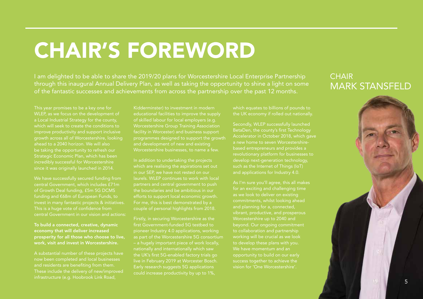# CHAIR'S FOREWORD

I am delighted to be able to share the 2019/20 plans for Worcestershire Local Enterprise Partnership through this inaugural Annual Delivery Plan, as well as taking the opportunity to shine a light on some of the fantastic successes and achievements from across the partnership over the past 12 months.

This year promises to be a key one for WLEP, as we focus on the development of a Local Industrial Strategy for the county, which will seek to create the conditions to improve productivity and support inclusive growth across all of Worcestershire, looking ahead to a 2040 horizon. We will also be taking the opportunity to refresh our Strategic Economic Plan, which has been incredibly successful for Worcestershire since it was originally launched in 2014.

We have successfully secured funding from central Government, which includes £71m of Growth Deal funding, £5m 5G DCMS funding and €68m of European Funds, to invest in many fantastic projects & initiatives. This is a huge vote of confidence from central Government in our vision and actions:

To build a connected, creative, dynamic economy that will deliver increased prosperity for all those who choose to live, work, visit and invest in Worcestershire.

A substantial number of these projects have now been completed and local businesses and residents are benefiting from them. These include the delivery of new/improved infrastructure (e.g. Hoobrook Link Road,

Kidderminster) to investment in modern educational facilities to improve the supply of skilled labour for local employers (e.g. Worcestershire Group Training Association facility in Worcester) and business support programmes designed to support the growth and development of new and existing Worcestershire businesses, to name a few.

In addition to undertaking the projects which are realising the aspirations set out in our SEP, we have not rested on our laurels. WLEP continues to work with local partners and central government to push the boundaries and be ambitious in our efforts to support local economic growth. For me, this is best demonstrated by a couple of personal highlights from 2018.

Firstly, in securing Worcestershire as the first Government-funded 5G testbed to as part of the Worcestershire 5G consortium nationally and internationally which saw the UK's first 5G-enabled factory trials go live in February 2019 at Worcester Bosch. Early research suggests 5G applications could increase productivity by up to 1%,

which equates to billions of pounds to the UK economy if rolled out nationally.

Secondly, WLEP successfully launched BetaDen, the county's first Technology Accelerator in October 2018, which gave a new home to seven Worcestershirebased entrepreneurs and provides a revolutionary platform for businesses to develop next-generation technology, such as the Internet of Things (IoT) and applications for Industry 4.0.

As I'm sure you'll agree, this all makes for an exciting and challenging time as we look to deliver on existing commitments, whilst looking ahead vibrant, productive, and prosperous Worcestershire up to 2040 and beyond. Our ongoing commitment to collaboration and partnership working will be crucial as we look to develop these plans with you. We have momentum and an opportunity to build on our early success together to achieve the

### **CHAIR** MARK STANSFELD

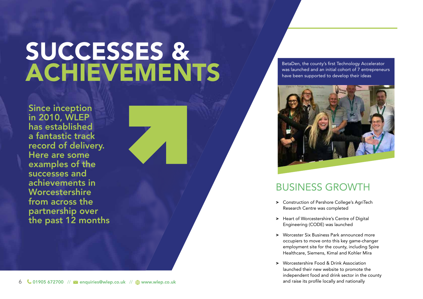# SUCCESSES & **ACHIEVEMENTS**

Since inception in 2010, WLEP has established a fantastic track record of delivery. Here are some examples of the successes and achievements in **Worcestershire** from across the partnership over the past 12 months BetaDen, the county's first Technology Accelerator was launched and an initial cohort of 7 entrepreneurs have been supported to develop their ideas



### BUSINESS GROWTH

- > Construction of Pershore College's AgriTech Research Centre was completed
- > Heart of Worcestershire's Centre of Digital Engineering (CODE) was launched
- > Worcester Six Business Park announced more occupiers to move onto this key game-changer employment site for the county, including Spire Healthcare, Siemens, Kimal and Kohler Mira
- > Worcestershire Food & Drink Association launched their new website to promote the independent food and drink sector in the county and raise its profile locally and nationally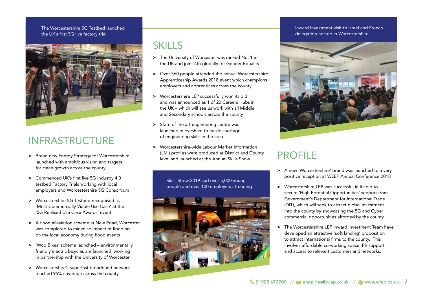### The Worcestershire 5G Testbed launched the UK's first 5G live factory trial



### INFRASTRUCTURE

- > Brand new Energy Strategy for Worcestershire launched with ambitious vision and targets for clean growth across the county
- > Commenced UK's first live 5G Industry 4.0 testbed Factory Trials working with local employers and Worcestershire 5G Consortium
- > Worcestershire 5G Testbed recognised as 'Most Commercially Viable Use Case' at the '5G Realised Use Case Awards' event
- > A flood alleviation scheme at New Road, Worcester was completed to minimise impact of flooding on the local economy during flood events
- > 'Woo Bikes' scheme launched environmentally friendly electric bicycles are launched, working in partnership with the University of Worcester
- > Worcestershire's superfast broadband network reached 95% coverage across the county

### **SKILLS**

- > The University of Worcester was ranked No. 1 in the UK and joint 4th globally for Gender Equality
- > Over 360 people attended the annual Worcestershire Apprenticeship Awards 2018 event which champions employers and apprentices across the county
- > Worcestershire LEP successfully won its bid and was announced as 1 of 20 Careers Hubs in the UK – which will see us work with all Middle and Secondary schools across the county
- > State of the art engineering centre was launched in Evesham to tackle shortage of engineering skills in the area
- > Worcestershire-wide Labour Market Information (LMI) profiles were produced at District and County PROFILE<br>level and launched at the Annual Skills Show

Skills Show 2019 had over 5,000 young people and over 100 employers attending



### Inward Investment visit to Israel and French delegation hosted in Worcestershire



- > A new 'Worcestershire' brand was launched to a very positive reception at WLEP Annual Conference 2018
- > Worcestershire LEP was successful in its bid to secure 'High Potential Opportunities' support from Government's Department for International Trade (DIT), which will seek to attract global investment into the county by showcasing the 5G and Cyber commercial opportunities afforded by the county
- > The Worcestershire LEP Inward Investment Team have developed an attractive 'soft landing' proposition to attract international firms to the county. This involves affordable co-working space, PR support and access to relevant customers and networks.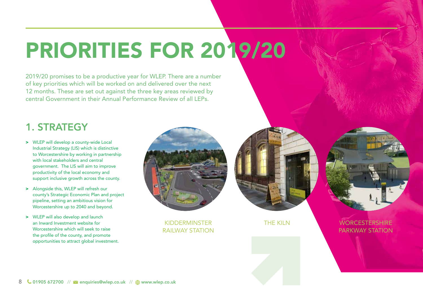# PRIORITIES FOR 2019/20

2019/20 promises to be a productive year for WLEP. There are a number of key priorities which will be worked on and delivered over the next 12 months. These are set out against the three key areas reviewed by central Government in their Annual Performance Review of all LEPs.

### 1. STRATEGY

- > WLEP will develop a county-wide Local Industrial Strategy (LIS) which is distinctive to Worcestershire by working in partnership with local stakeholders and central government. The LIS will aim to improve productivity of the local economy and support inclusive growth across the county.
- > Alongside this, WLEP will refresh our county's Strategic Economic Plan and project pipeline, setting an ambitious vision for Worcestershire up to 2040 and beyond.
- > WLEP will also develop and launch an Inward Investment website for Worcestershire which will seek to raise the profile of the county, and promote opportunities to attract global investment.



KIDDERMINSTER RAILWAY STATION



THE KILN WORCESTERSHIRE PARKWAY STATION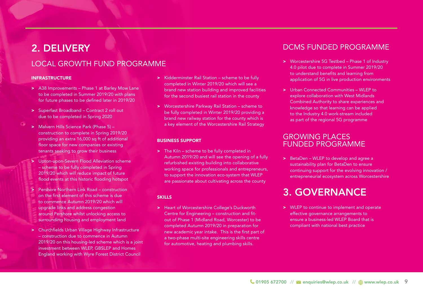### 2. DELIVERY

### LOCAL GROWTH FUND PROGRAMME

### INFRASTRUCTURE

- > A38 Improvements Phase 1 at Barley Mow Lane to be completed in Summer 2019/20 with plans for future phases to be defined later in 2019/20
- > Superfast Broadband Contract 2 roll out due to be completed in Spring 2020
- > Malvern Hills Science Park (Phase 5) construction to complete in Spring 2019/20 providing an extra 16,000 sq ft of additional floor space for new companies or existing tenants seeking to grow their business
- Upton-upon-Severn Flood Alleviation scheme – scheme to be fully completed in Spring 2019/20 which will reduce impact of future flood events at this historic flooding hotspot
- > Pershore Northern Link Road construction on the first element of this scheme is due to commence Autumn 2019/20 which will upgrade links and address congestion around Pershore whilst unlocking access to surrounding housing and employment land
- > Churchfields Urban Village Highway Infrastructure – construction due to commence in Autumn 2019/20 on this housing-led scheme which is a joint investment between WLEP, GBSLEP and Homes England working with Wyre Forest District Council
- > Kidderminster Rail Station scheme to be fully completed in Winter 2019/20 which will see a brand new station building and improved facilities for the second busiest rail station in the county
- > Worcestershire Parkway Rail Station scheme to be fully completed in Winter 2019/20 providing a brand new railway station for the county which is a key element of the Worcestershire Rail Strategy

### BUSINESS SUPPORT

> The Kiln – scheme to be fully completed in Autumn 2019/20 and will see the opening of a fully refurbished existing building into collaborative working space for professionals and entrepreneurs, to support the innovation eco-system that WLEP are passionate about cultivating across the county

### SKILLS

> Heart of Worcestershire College's Duckworth Centre for Engineering – construction and fitout of Phase 1 (Midland Road, Worcester) to be completed Autumn 2019/20 in preparation for new academic year intake. This is the first part of a two-phase multi-site engineering skills centre for automotive, heating and plumbing skills.

### DCMS FUNDED PROGRAMME

- > Worcestershire 5G Testbed Phase 1 of Industry 4.0 pilot due to complete in Summer 2019/20 to understand benefits and learning from application of 5G in live production environments
- > Urban Connected Communities WLEP to explore collaboration with West Midlands Combined Authority to share experiences and knowledge so that learning can be applied to the Industry 4.0 work-stream included as part of the regional 5G programme

### GROWING PLACES FUNDED PROGRAMME

> BetaDen – WLEP to develop and agree a sustainability plan for BetaDen to ensure continuing support for the evolving innovation / entrepreneurial ecosystem across Worcestershire

### 3. GOVERNANCE

> WLEP to continue to implement and operate effective governance arrangements to ensure a business-led WLEP Board that is compliant with national best practice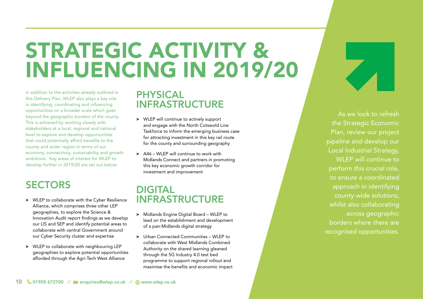# STRATEGIC ACTIVITY & INFLUENCING IN 2019/20

In addition to the activities already outlined in this Delivery Plan, WLEP also plays a key role in identifying, coordinating and influencing opportunities on a broader scale which goes beyond the geographic borders of the county. This is achieved by working closely with stakeholders at a local, regional and national level to explore and develop opportunities that could potentially afford benefits to the county and wider region in terms of our economy, connectivity, sustainability and growth ambitions. Key areas of interest for WLEP to develop further in 2019/20 are set out below:

### **SECTORS**

- > WLEP to collaborate with the Cyber Resilience Alliance, which comprises three other LEP geographies, to explore the Science & Innovation Audit report findings as we develop our LIS and SEP and identify potential areas to collaborate with central Government around our Cyber Security cluster and expertise
- > WLEP to collaborate with neighbouring LEP geographies to explore potential opportunities afforded through the Agri-Tech West Alliance

### PHYSICAL INFRASTRUCTURE

- > WLEP will continue to actively support and engage with the North Cotswold Line Taskforce to inform the emerging business case for attracting investment in this key rail route for the county and surrounding geography
- > A46 WLEP will continue to work with Midlands Connect and partners in promoting this key economic growth corridor for investment and improvement

### DIGITAL INFRASTRUCTURE

- > Midlands Engine Digital Board WLEP to lead on the establishment and development of a pan-Midlands digital strategy
- > Urban Connected Communities WLEP to collaborate with West Midlands Combined Authority on the shared learning gleaned through the 5G Industry 4.0 test bed programme to support regional rollout and maximise the benefits and economic impact

As we look to refresh the Strategic Economic Plan, review our project pipeline and develop our Local Industrial Strategy, WI FP will continue to perform this crucial role, to ensure a coordinated approach in identifying county-wide solutions, whilst also collaborating across geographic borders where there are recognised opportunities.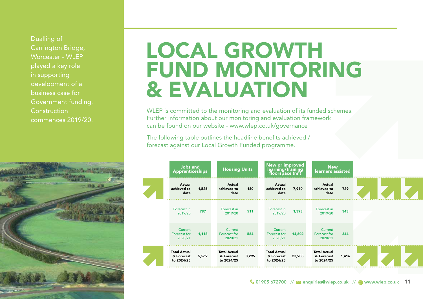Dualling of Carrington Bridge, Worcester - WI FP played a key role in supporting development of a business case for Government funding. **Construction** commences 2019/20.



## LOCAL GROWTH FUND MONITORING & EVALUATION

WLEP is committed to the monitoring and evaluation of its funded schemes. Further information about our monitoring and evaluation framework can be found on our website - www.wlep.co.uk/governance

The following table outlines the headline benefits achieved / forecast against our Local Growth Funded programme.

| Jobs and<br><b>Apprenticeships</b>              |       | <b>Housing Units</b>                            |       | New or improved<br>learning/training<br>floorspace $(m^2)$ |        | <b>New</b><br>learners assisted                 |       |  |  |  |
|-------------------------------------------------|-------|-------------------------------------------------|-------|------------------------------------------------------------|--------|-------------------------------------------------|-------|--|--|--|
| Actual<br>achieved to<br>date                   | 1,526 | Actual<br>achieved to<br>date                   | 180   | Actual<br>achieved to<br>date                              | 7.910  | Actual<br>achieved to<br>date                   | 729   |  |  |  |
| Forecast in<br>2019/20                          | 787   | Forecast in<br>2019/20                          | 511   | Forecast in<br>2019/20                                     | 1,393  | Forecast in<br>2019/20                          | 343   |  |  |  |
| Current<br>Forecast for<br>2020/21              | 1.118 | Current<br>Forecast for<br>2020/21              | 564   | Current<br>Forecast for<br>2020/21                         | 14,602 | Current<br>Forecast for<br>2020/21              | 344   |  |  |  |
| <b>Total Actual</b><br>& Forecast<br>to 2024/25 | 5,569 | <b>Total Actual</b><br>& Forecast<br>to 2024/25 | 3,295 | <b>Total Actual</b><br>& Forecast<br>to 2024/25            | 23,905 | <b>Total Actual</b><br>& Forecast<br>to 2024/25 | 1,416 |  |  |  |